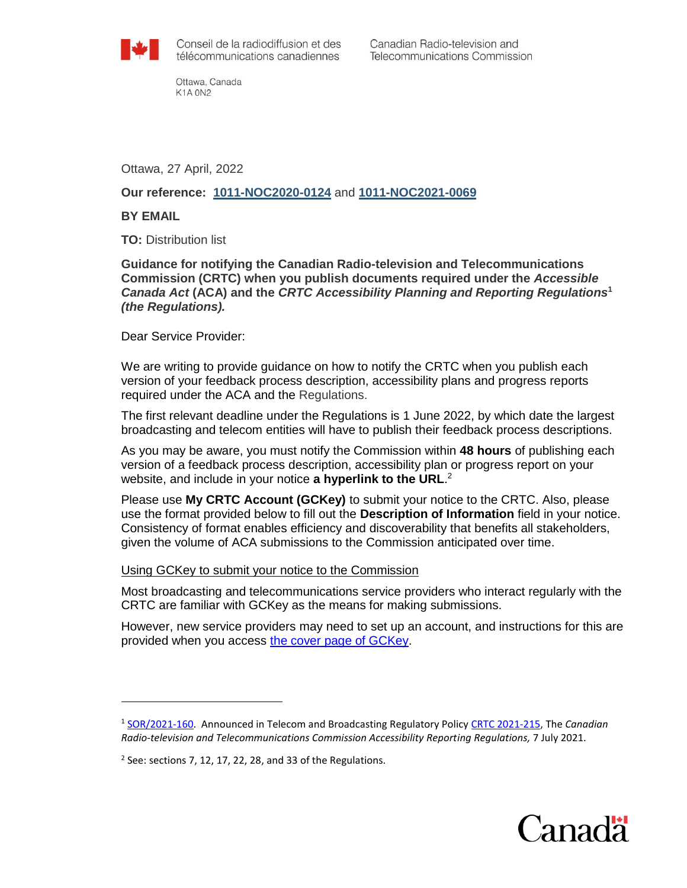

Canadian Radio-television and **Telecommunications Commission** 

Ottawa, Canada **K1A 0N2** 

Ottawa, 27 April, 2022

# **Our reference: [1011-NOC2020-0124](https://services.crtc.gc.ca/pub/instances-proceedings/Default-defaut.aspx?EN=2020-124&Lang=eng)** and **[1011-NOC2021-0069](https://services.crtc.gc.ca/pub/instances-proceedings/Default-defaut.aspx?EN=2021-69&Lang=eng)**

### **BY EMAIL**

 $\overline{a}$ 

**TO:** Distribution list

**Guidance for notifying the Canadian Radio-television and Telecommunications Commission (CRTC) when you publish documents required under the** *Accessible Canada Act* **(ACA) and the** *CRTC Accessibility Planning and Reporting Regulations***<sup>1</sup>** *(the Regulations).*

Dear Service Provider:

We are writing to provide guidance on how to notify the CRTC when you publish each version of your feedback process description, accessibility plans and progress reports required under the ACA and the Regulations.

The first relevant deadline under the Regulations is 1 June 2022, by which date the largest broadcasting and telecom entities will have to publish their feedback process descriptions.

As you may be aware, you must notify the Commission within **48 hours** of publishing each version of a feedback process description, accessibility plan or progress report on your website, and include in your notice **a hyperlink to the URL**. 2

Please use **My CRTC Account (GCKey)** to submit your notice to the CRTC. Also, please use the format provided below to fill out the **Description of Information** field in your notice. Consistency of format enables efficiency and discoverability that benefits all stakeholders, given the volume of ACA submissions to the Commission anticipated over time.

#### Using GCKey to submit your notice to the Commission

Most broadcasting and telecommunications service providers who interact regularly with the CRTC are familiar with GCKey as the means for making submissions.

However, new service providers may need to set up an account, and instructions for this are provided when you access [the cover page of GCKey.](https://crtc.gc.ca/eng/forms/form_index.htm)



<sup>1</sup> [SOR/2021-160.](https://laws.justice.gc.ca/eng/regulations/SOR-2021-160/index.html) Announced in Telecom and Broadcasting Regulatory Policy [CRTC 2021-215,](https://crtc.gc.ca/eng/archive/2021/2021-215.htm) The *Canadian Radio-television and Telecommunications Commission Accessibility Reporting Regulations,* 7 July 2021.

 $2$  See: sections 7, 12, 17, 22, 28, and 33 of the Regulations.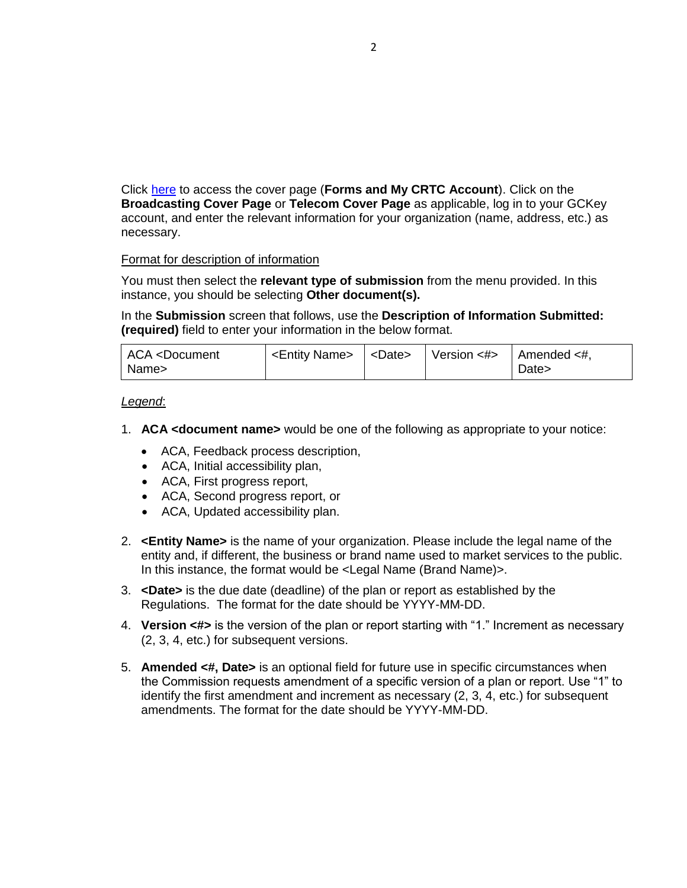Click [here](https://crtc.gc.ca/eng/forms/form_index.htm?_ga=2.130824143.1759291849.1644935661-124826477.1626780943) to access the cover page (**Forms and My CRTC Account**). Click on the **Broadcasting Cover Page** or **Telecom Cover Page** as applicable, log in to your GCKey account, and enter the relevant information for your organization (name, address, etc.) as necessary.

## Format for description of information

You must then select the **relevant type of submission** from the menu provided. In this instance, you should be selecting **Other document(s).**

In the **Submission** screen that follows, use the **Description of Information Submitted: (required)** field to enter your information in the below format.

| ACA <document<br>Name&gt;</document<br> | $\vert$ <entity name=""> <math>\vert</math> <date></date></entity> | Version $\lt\#$   Amended $\lt\#$ , | Date> |
|-----------------------------------------|--------------------------------------------------------------------|-------------------------------------|-------|
|                                         |                                                                    |                                     |       |

#### *Legend*:

- 1. **ACA <document name>** would be one of the following as appropriate to your notice:
	- ACA, Feedback process description,
	- ACA, Initial accessibility plan,
	- ACA, First progress report,
	- ACA, Second progress report, or
	- ACA, Updated accessibility plan.
- 2. **<Entity Name>** is the name of your organization. Please include the legal name of the entity and, if different, the business or brand name used to market services to the public. In this instance, the format would be <Legal Name (Brand Name)>.
- 3. **<Date>** is the due date (deadline) of the plan or report as established by the Regulations. The format for the date should be YYYY-MM-DD.
- 4. **Version <#>** is the version of the plan or report starting with "1." Increment as necessary (2, 3, 4, etc.) for subsequent versions.
- 5. **Amended <#, Date>** is an optional field for future use in specific circumstances when the Commission requests amendment of a specific version of a plan or report. Use "1" to identify the first amendment and increment as necessary (2, 3, 4, etc.) for subsequent amendments. The format for the date should be YYYY-MM-DD.